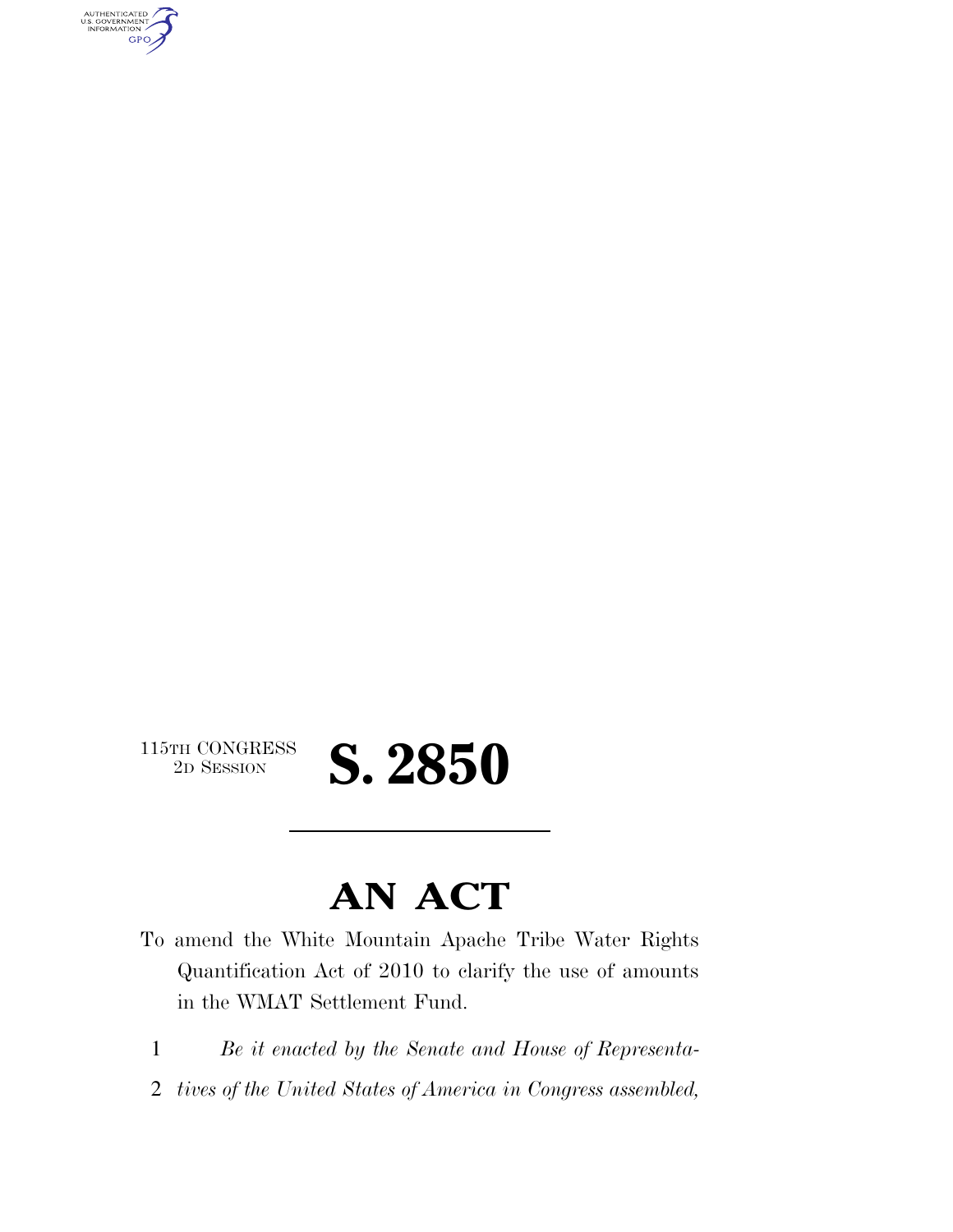AUTHENTICATED<br>U.S. GOVERNMENT<br>INFORMATION GPO

 $\begin{array}{c} \textbf{115TH CONGRESS} \\ \textbf{2D} \textbf{Session} \end{array}$ 

## 2D SESSION **S. 2850**

### **AN ACT**

- To amend the White Mountain Apache Tribe Water Rights Quantification Act of 2010 to clarify the use of amounts in the WMAT Settlement Fund.
	- 1 *Be it enacted by the Senate and House of Representa-*
	- 2 *tives of the United States of America in Congress assembled,*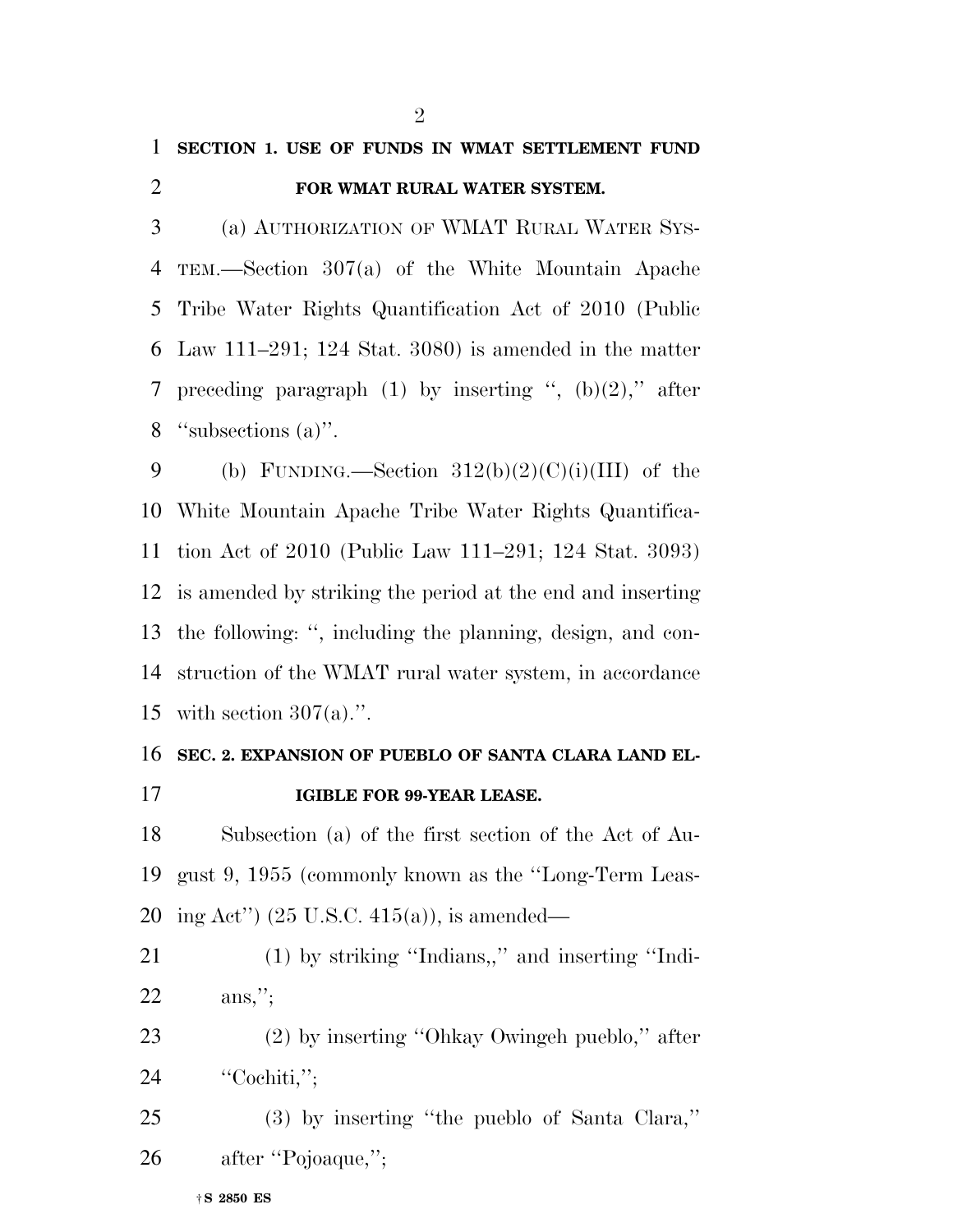#### **SECTION 1. USE OF FUNDS IN WMAT SETTLEMENT FUND**

#### **FOR WMAT RURAL WATER SYSTEM.**

 (a) AUTHORIZATION OF WMAT RURAL WATER SYS- TEM.—Section 307(a) of the White Mountain Apache Tribe Water Rights Quantification Act of 2010 (Public Law 111–291; 124 Stat. 3080) is amended in the matter 7 preceding paragraph (1) by inserting ",  $(b)(2)$ ," after ''subsections (a)''.

9 (b) FUNDING.—Section  $312(b)(2)(C)(i)(III)$  of the White Mountain Apache Tribe Water Rights Quantifica- tion Act of 2010 (Public Law 111–291; 124 Stat. 3093) is amended by striking the period at the end and inserting the following: '', including the planning, design, and con- struction of the WMAT rural water system, in accordance 15 with section  $307(a)$ .".

### **SEC. 2. EXPANSION OF PUEBLO OF SANTA CLARA LAND EL-IGIBLE FOR 99-YEAR LEASE.**

 Subsection (a) of the first section of the Act of Au- gust 9, 1955 (commonly known as the ''Long-Term Leas-ing Act'') (25 U.S.C. 415(a)), is amended—

 (1) by striking ''Indians,,'' and inserting ''Indi-ans,'';

 (2) by inserting ''Ohkay Owingeh pueblo,'' after ''Cochiti,'';

 (3) by inserting ''the pueblo of Santa Clara,'' 26 after "Pojoaque,";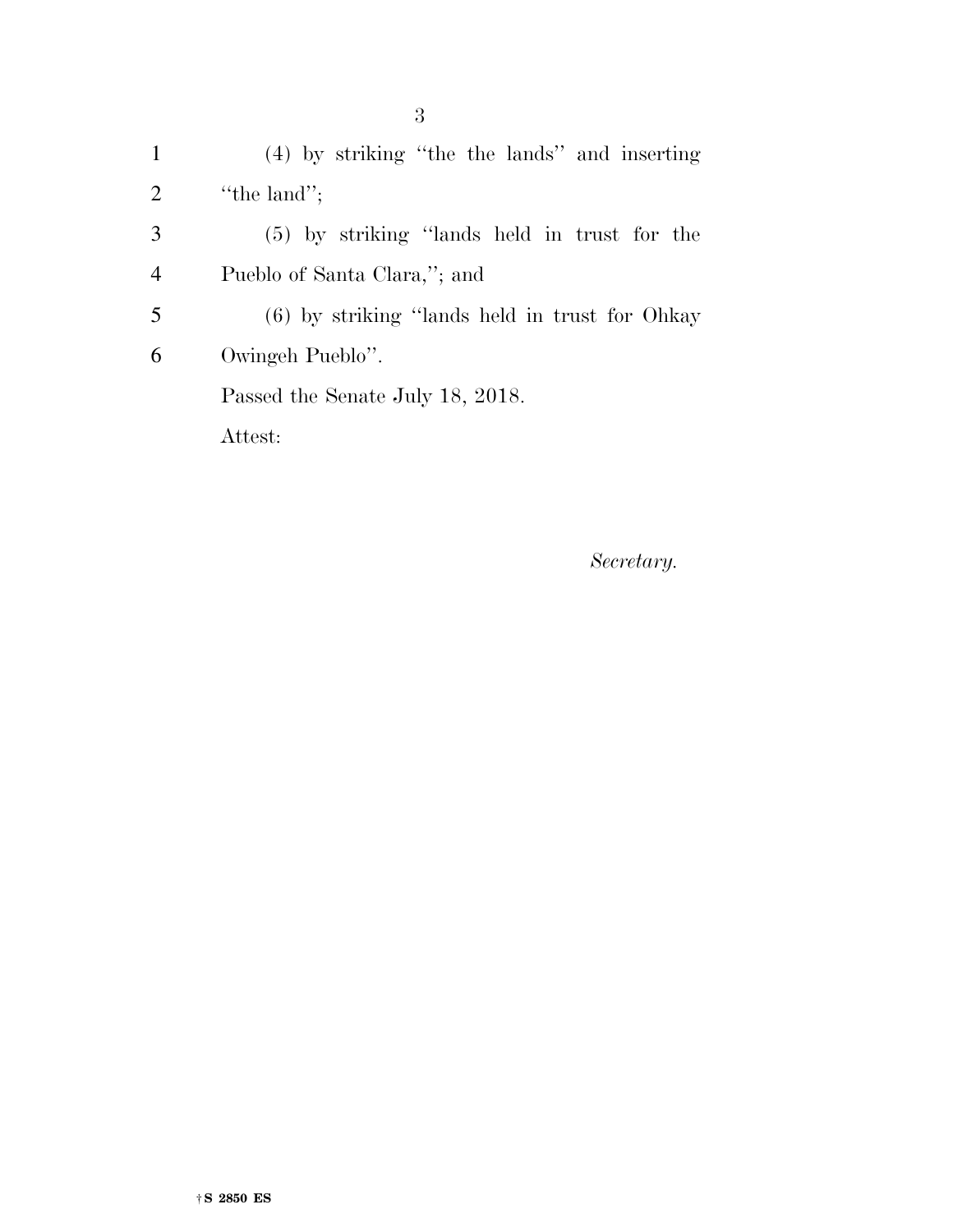(4) by striking ''the the lands'' and inserting ''the land''; (5) by striking ''lands held in trust for the Pueblo of Santa Clara,''; and (6) by striking ''lands held in trust for Ohkay Owingeh Pueblo''. Passed the Senate July 18, 2018. Attest:

*Secretary.*